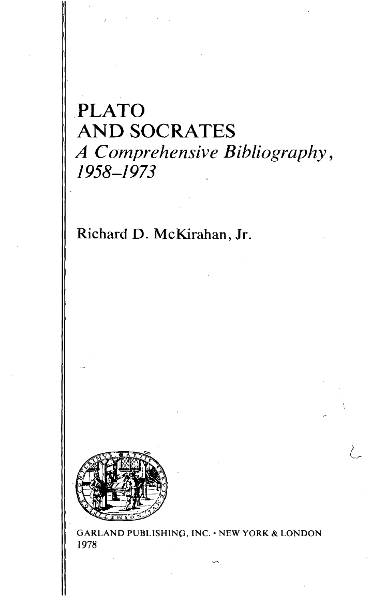## PLATO AND SOCRATES *A Comprehensive Bibliography*, *1958-1973*

Richard D. McKirahan, Jr.



GARLAND PUBLISHING, INC. • NEW YORK & LONDON 1978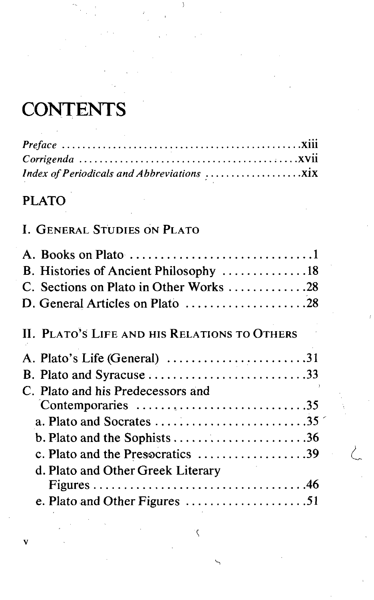# **CONTENTS**

## PLATO

## I. GENERAL STUDIES ON PLATO

| B. Histories of Ancient Philosophy 18                                                  |
|----------------------------------------------------------------------------------------|
| C. Sections on Plato in Other Works 28                                                 |
| D. General Articles on Plato 28                                                        |
| II. PLATO'S LIFE AND HIS RELATIONS TO OTHERS                                           |
| A. Plato's Life (General) 31                                                           |
|                                                                                        |
| C. Plato and his Predecessors and                                                      |
| Contemporaries 35                                                                      |
| a. Plato and Socrates $\dots \dots \dots \dots \dots \dots \dots \dots \dots \dots 35$ |
| b. Plato and the Sophists 36                                                           |
| c. Plato and the Presscratics 39                                                       |
| d. Plato and Other Greek Literary                                                      |
|                                                                                        |
| e. Plato and Other Figures 51                                                          |

 $\mathbf C$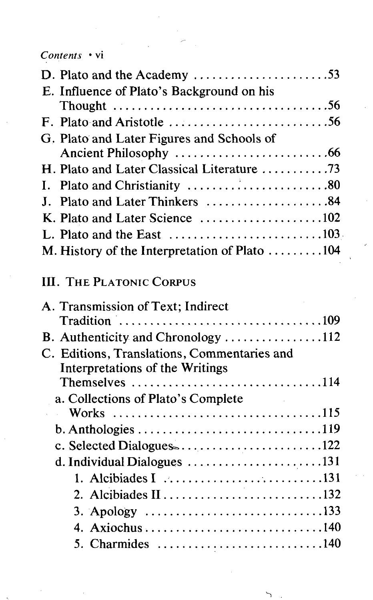#### *Contents* • vi

| D. Plato and the Academy $\ldots$ 53                                                   |  |
|----------------------------------------------------------------------------------------|--|
| E. Influence of Plato's Background on his                                              |  |
| Thought $\ldots \ldots \ldots \ldots \ldots \ldots \ldots \ldots \ldots \ldots \ldots$ |  |
| F. Plato and Aristotle $\dots \dots \dots \dots \dots \dots \dots \dots$ 56            |  |
| G. Plato and Later Figures and Schools of                                              |  |
|                                                                                        |  |
| H. Plato and Later Classical Literature 73                                             |  |
| I. Plato and Christianity 80                                                           |  |
| Plato and Later Thinkers 84<br>$\mathbf{J}$ .                                          |  |
|                                                                                        |  |
|                                                                                        |  |
| M. History of the Interpretation of Plato 104                                          |  |
|                                                                                        |  |
| <b>III. THE PLATONIC CORPUS</b>                                                        |  |
| A. Transmission of Text; Indirect                                                      |  |
|                                                                                        |  |
| B. Authenticity and Chronology 112                                                     |  |
| C. Editions, Translations, Commentaries and                                            |  |
| Interpretations of the Writings                                                        |  |
| Themselves $\dots\dots\dots\dots\dots\dots\dots\dots\dots\dots\dots114$                |  |
| a. Collections of Plato's Complete                                                     |  |
| $\mathcal{L}^{\text{max}}$                                                             |  |
|                                                                                        |  |
| c. Selected Dialogues122                                                               |  |
| d. Individual Dialogues 131                                                            |  |
|                                                                                        |  |
| 2. Alcibiades II 132                                                                   |  |
|                                                                                        |  |
| 4. Axiochus 140                                                                        |  |
|                                                                                        |  |
|                                                                                        |  |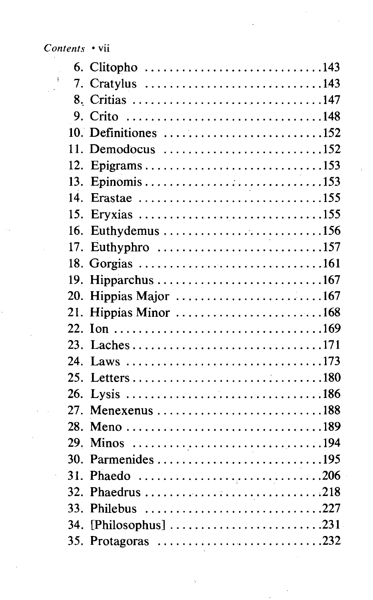$\overline{a}$ 

|          | 6. Clitopho 143                                                                    |
|----------|------------------------------------------------------------------------------------|
| $\Delta$ | 7. Cratylus 143                                                                    |
|          | 8. Critias 147                                                                     |
|          | 9. Crito 148                                                                       |
|          | 10. Definitiones 152                                                               |
|          | 11. Demodocus $\dots\dots\dots\dots\dots\dots\dots\dots\dots$ 152                  |
|          | 12. Epigrams153                                                                    |
|          |                                                                                    |
| 14.      |                                                                                    |
|          | 15. Eryxias 155                                                                    |
| 16.      |                                                                                    |
|          | 17. Euthyphro 157                                                                  |
|          | 18. Gorgias 161                                                                    |
|          |                                                                                    |
|          | 20. Hippias Major 167                                                              |
|          | 21. Hippias Minor 168                                                              |
|          |                                                                                    |
|          |                                                                                    |
| 24.      | Laws 173                                                                           |
|          |                                                                                    |
| 26.      |                                                                                    |
|          | 27. Menexenus 188                                                                  |
|          | 28. Meno 189                                                                       |
|          |                                                                                    |
|          | 30. Parmenides 195                                                                 |
| ł,       | 31. Phaedo 206                                                                     |
|          | 32. Phaedrus 218                                                                   |
|          | 33. Philebus 227                                                                   |
| 34.      | [Philosophus] $\ldots \ldots \ldots \ldots \ldots \ldots \ldots \ldots \ldots$ 231 |
|          |                                                                                    |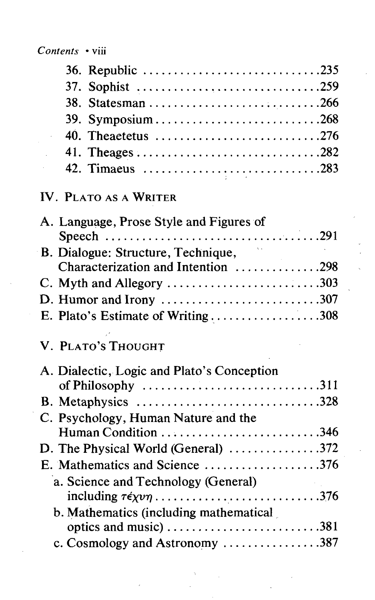| 39. Symposium268   |
|--------------------|
| 40. Theaetetus 276 |
|                    |
| 42. Timaeus 283    |

## IV. PLATO AS A WRITER

| A. Language, Prose Style and Figures of                                                 |  |
|-----------------------------------------------------------------------------------------|--|
|                                                                                         |  |
| B. Dialogue: Structure, Technique,                                                      |  |
| Characterization and Intention 298                                                      |  |
|                                                                                         |  |
| D. Humor and Irony $\ldots \ldots \ldots \ldots \ldots \ldots \ldots \ldots \ldots 307$ |  |
| E. Plato's Estimate of Writing308                                                       |  |
| V. PLATO'S THOUGHT                                                                      |  |
| A. Dialectic, Logic and Plato's Conception                                              |  |
| of Philosophy 311                                                                       |  |
| B. Metaphysics 328                                                                      |  |
| C. Psychology, Human Nature and the                                                     |  |
| Human Condition 346                                                                     |  |
| D. The Physical World (General) 372                                                     |  |
| E. Mathematics and Science 376                                                          |  |
| a. Science and Technology (General)                                                     |  |
| including $\tau \epsilon \chi \nu \eta$ 376                                             |  |
| b. Mathematics (including mathematical                                                  |  |
|                                                                                         |  |
| c. Cosmology and Astronomy $\dots \dots \dots \dots \dots 387$                          |  |
|                                                                                         |  |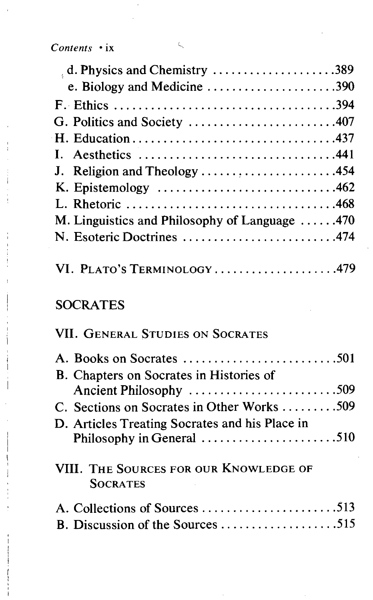*Contents* • ix ^

| $\alpha$ , d. Physics and Chemistry 389               |  |
|-------------------------------------------------------|--|
| e. Biology and Medicine 390                           |  |
|                                                       |  |
| G. Politics and Society 407                           |  |
|                                                       |  |
|                                                       |  |
| J. Religion and Theology 454                          |  |
|                                                       |  |
|                                                       |  |
| M. Linguistics and Philosophy of Language $\dots$ 470 |  |
| N. Esoteric Doctrines 474                             |  |
| VI. PLATO'S TERMINOLOGY479                            |  |

## **SOCRATES**

### VII. GENERAL STUDIES ON SOCRATES

|                 | B. Chapters on Socrates in Histories of                     |  |
|-----------------|-------------------------------------------------------------|--|
|                 | Ancient Philosophy 509                                      |  |
|                 | C. Sections on Socrates in Other Works 509                  |  |
|                 | D. Articles Treating Socrates and his Place in              |  |
|                 | Philosophy in General $\dots\dots\dots\dots\dots\dots\dots$ |  |
| <b>SOCRATES</b> | VIII. THE SOURCES FOR OUR KNOWLEDGE OF                      |  |
|                 |                                                             |  |
|                 | B. Discussion of the Sources 515                            |  |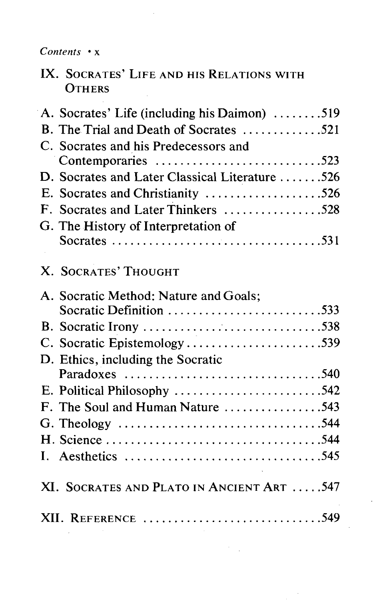*Contents* • x

IX. SOCRATES' LIFE AND HIS RELATIONS WITH **OTHERS** 

| A. Socrates' Life (including his Daimon) 519   |
|------------------------------------------------|
| B. The Trial and Death of Socrates 521         |
| C. Socrates and his Predecessors and           |
| Contemporaries 523                             |
| D. Socrates and Later Classical Literature 526 |
| E. Socrates and Christianity 526               |
| F. Socrates and Later Thinkers 528             |
| G. The History of Interpretation of            |
|                                                |
| X. SOCRATES' THOUGHT                           |
| A. Socratic Method: Nature and Goals;          |
| Socratic Definition 533                        |
|                                                |
| C. Socratic Epistemology539                    |
| D. Ethics, including the Socratic              |
| Paradoxes 540                                  |
| E. Political Philosophy 542                    |
| F. The Soul and Human Nature 543               |
|                                                |
|                                                |
|                                                |
| XI. SOCRATES AND PLATO IN ANCIENT ART 547      |
| XII. REFERENCE 549                             |